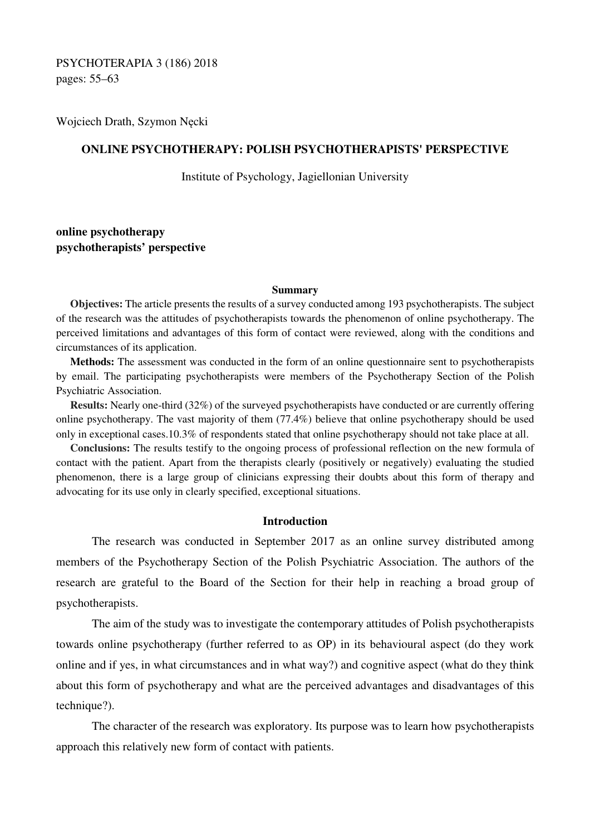PSYCHOTERAPIA 3 (186) 2018 pages: 55–63

Wojciech Drath, Szymon Nęcki

## **ONLINE PSYCHOTHERAPY: POLISH PSYCHOTHERAPISTS' PERSPECTIVE**

Institute of Psychology, Jagiellonian University

# **online psychotherapy psychotherapists' perspective**

#### **Summary**

**Objectives:** The article presents the results of a survey conducted among 193 psychotherapists. The subject of the research was the attitudes of psychotherapists towards the phenomenon of online psychotherapy. The perceived limitations and advantages of this form of contact were reviewed, along with the conditions and circumstances of its application.

**Methods:** The assessment was conducted in the form of an online questionnaire sent to psychotherapists by email. The participating psychotherapists were members of the Psychotherapy Section of the Polish Psychiatric Association.

**Results:** Nearly one-third (32%) of the surveyed psychotherapists have conducted or are currently offering online psychotherapy. The vast majority of them (77.4%) believe that online psychotherapy should be used only in exceptional cases.10.3% of respondents stated that online psychotherapy should not take place at all.

**Conclusions:** The results testify to the ongoing process of professional reflection on the new formula of contact with the patient. Apart from the therapists clearly (positively or negatively) evaluating the studied phenomenon, there is a large group of clinicians expressing their doubts about this form of therapy and advocating for its use only in clearly specified, exceptional situations.

## **Introduction**

The research was conducted in September 2017 as an online survey distributed among members of the Psychotherapy Section of the Polish Psychiatric Association. The authors of the research are grateful to the Board of the Section for their help in reaching a broad group of psychotherapists.

The aim of the study was to investigate the contemporary attitudes of Polish psychotherapists towards online psychotherapy (further referred to as OP) in its behavioural aspect (do they work online and if yes, in what circumstances and in what way?) and cognitive aspect (what do they think about this form of psychotherapy and what are the perceived advantages and disadvantages of this technique?).

The character of the research was exploratory. Its purpose was to learn how psychotherapists approach this relatively new form of contact with patients.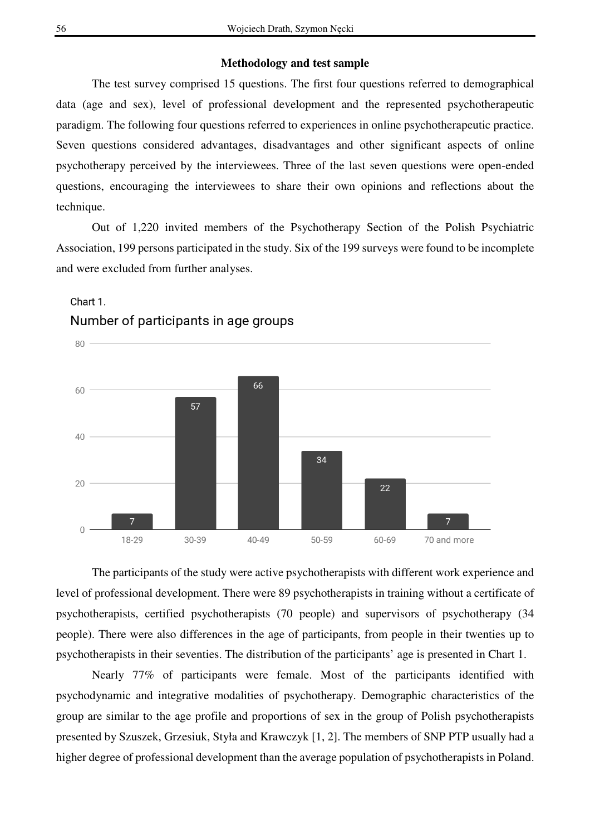## **Methodology and test sample**

The test survey comprised 15 questions. The first four questions referred to demographical data (age and sex), level of professional development and the represented psychotherapeutic paradigm. The following four questions referred to experiences in online psychotherapeutic practice. Seven questions considered advantages, disadvantages and other significant aspects of online psychotherapy perceived by the interviewees. Three of the last seven questions were open-ended questions, encouraging the interviewees to share their own opinions and reflections about the technique.

Out of 1,220 invited members of the Psychotherapy Section of the Polish Psychiatric Association, 199 persons participated in the study. Six of the 199 surveys were found to be incomplete and were excluded from further analyses.



# Chart 1. Number of participants in age groups

The participants of the study were active psychotherapists with different work experience and level of professional development. There were 89 psychotherapists in training without a certificate of psychotherapists, certified psychotherapists (70 people) and supervisors of psychotherapy (34 people). There were also differences in the age of participants, from people in their twenties up to psychotherapists in their seventies. The distribution of the participants' age is presented in Chart 1.

Nearly 77% of participants were female. Most of the participants identified with psychodynamic and integrative modalities of psychotherapy. Demographic characteristics of the group are similar to the age profile and proportions of sex in the group of Polish psychotherapists presented by Szuszek, Grzesiuk, Styła and Krawczyk [1, 2]. The members of SNP PTP usually had a higher degree of professional development than the average population of psychotherapists in Poland.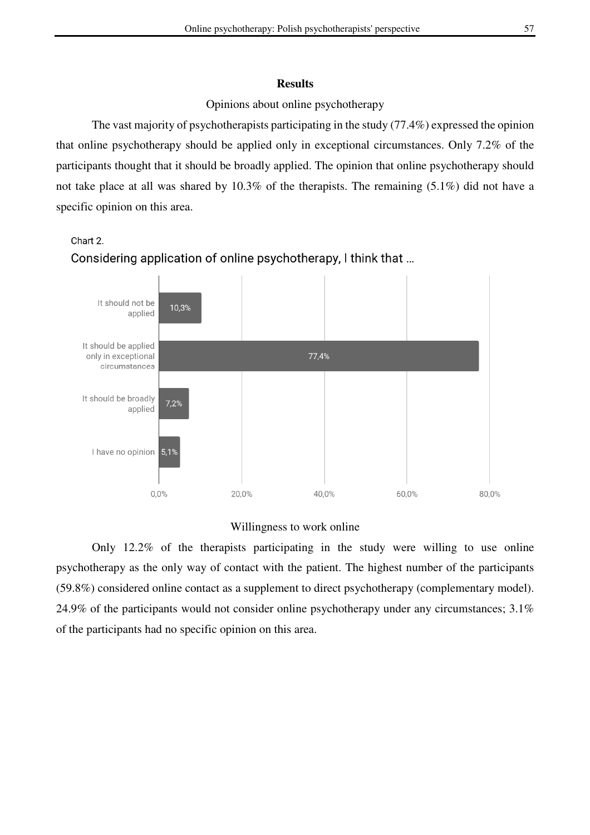### **Results**

### Opinions about online psychotherapy

The vast majority of psychotherapists participating in the study (77.4%) expressed the opinion that online psychotherapy should be applied only in exceptional circumstances. Only 7.2% of the participants thought that it should be broadly applied. The opinion that online psychotherapy should not take place at all was shared by 10.3% of the therapists. The remaining (5.1%) did not have a specific opinion on this area.

#### Chart 2.





# Willingness to work online

Only 12.2% of the therapists participating in the study were willing to use online psychotherapy as the only way of contact with the patient. The highest number of the participants (59.8%) considered online contact as a supplement to direct psychotherapy (complementary model). 24.9% of the participants would not consider online psychotherapy under any circumstances; 3.1% of the participants had no specific opinion on this area.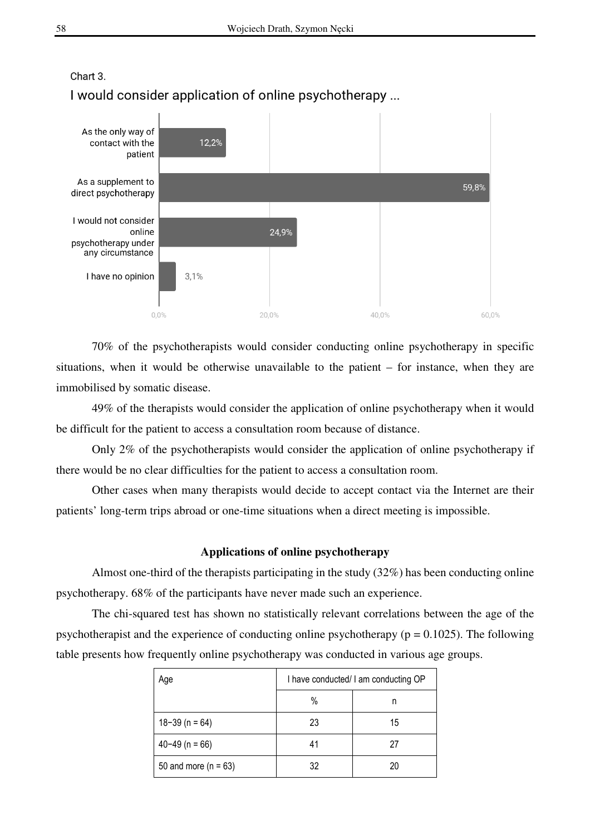

# $$ I would consider application of online psychotherapy ...

70% of the psychotherapists would consider conducting online psychotherapy in specific situations, when it would be otherwise unavailable to the patient – for instance, when they are immobilised by somatic disease.

49% of the therapists would consider the application of online psychotherapy when it would be difficult for the patient to access a consultation room because of distance.

Only 2% of the psychotherapists would consider the application of online psychotherapy if there would be no clear difficulties for the patient to access a consultation room.

Other cases when many therapists would decide to accept contact via the Internet are their patients' long-term trips abroad or one-time situations when a direct meeting is impossible.

### **Applications of online psychotherapy**

Almost one-third of the therapists participating in the study (32%) has been conducting online psychotherapy. 68% of the participants have never made such an experience.

The chi-squared test has shown no statistically relevant correlations between the age of the psychotherapist and the experience of conducting online psychotherapy ( $p = 0.1025$ ). The following table presents how frequently online psychotherapy was conducted in various age groups.

| Age                      | I have conducted/ I am conducting OP |    |
|--------------------------|--------------------------------------|----|
|                          | $\%$                                 | n  |
| $18 - 39$ (n = 64)       | 23                                   | 15 |
| $40 - 49$ (n = 66)       | 41                                   | 27 |
| 50 and more ( $n = 63$ ) | 32                                   | 20 |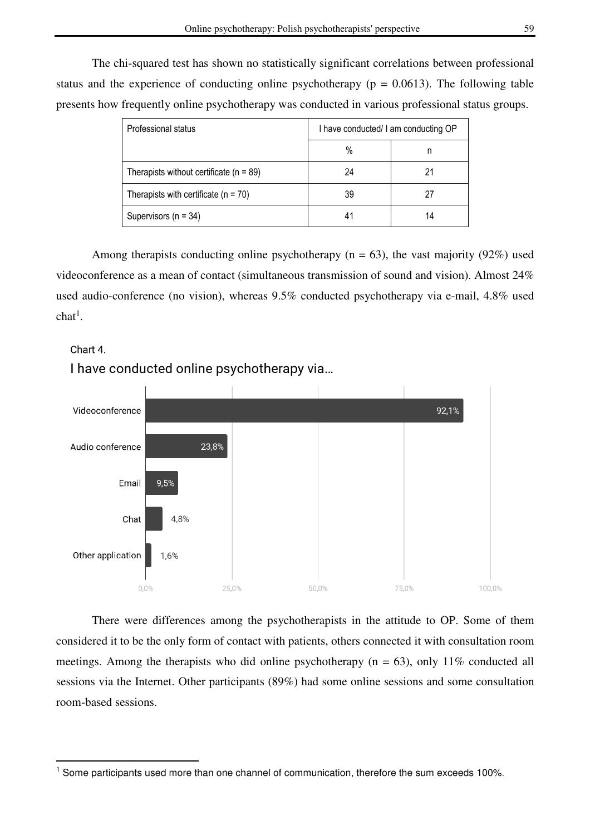The chi-squared test has shown no statistically significant correlations between professional status and the experience of conducting online psychotherapy ( $p = 0.0613$ ). The following table presents how frequently online psychotherapy was conducted in various professional status groups.

| Professional status                         | I have conducted/ I am conducting OP |    |
|---------------------------------------------|--------------------------------------|----|
|                                             | %                                    | n  |
| Therapists without certificate ( $n = 89$ ) | 24                                   | 21 |
| Therapists with certificate $(n = 70)$      | 39                                   | 27 |
| Supervisors ( $n = 34$ )                    |                                      | 14 |

Among therapists conducting online psychotherapy ( $n = 63$ ), the vast majority (92%) used videoconference as a mean of contact (simultaneous transmission of sound and vision). Almost 24% used audio-conference (no vision), whereas 9.5% conducted psychotherapy via e-mail, 4.8% used  $\text{chat}^1$ .

# Chart 4

 $\overline{a}$ 

Videoconference 92.1% Audio conference 23,8% Email 9.5% 4.8% Chat Other application  $16%$  $0.0%$ 25.0% 50.0% 75.0% 100.0%

I have conducted online psychotherapy via...

There were differences among the psychotherapists in the attitude to OP. Some of them considered it to be the only form of contact with patients, others connected it with consultation room meetings. Among the therapists who did online psychotherapy ( $n = 63$ ), only 11% conducted all sessions via the Internet. Other participants (89%) had some online sessions and some consultation room-based sessions.

<sup>&</sup>lt;sup>1</sup> Some participants used more than one channel of communication, therefore the sum exceeds 100%.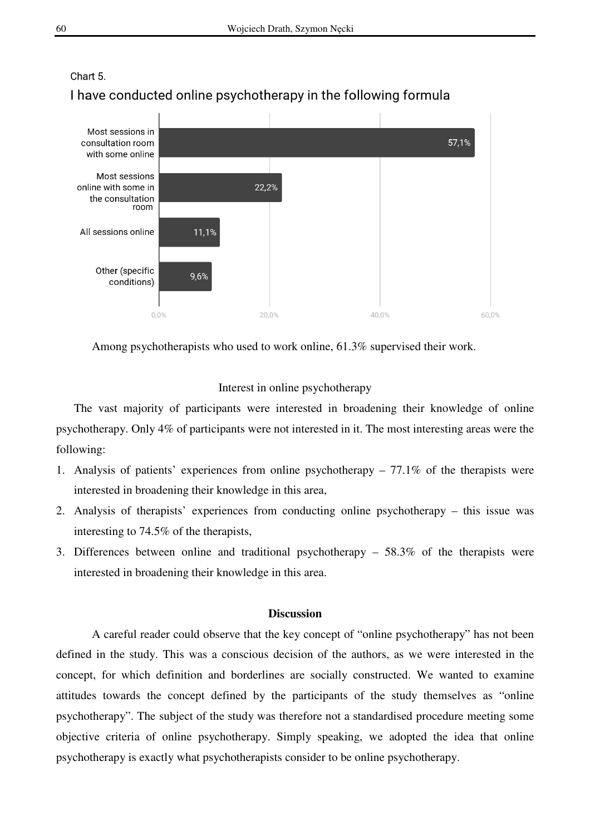

# Chart 5 I have conducted online psychotherapy in the following formula

Among psychotherapists who used to work online, 61.3% supervised their work.

## Interest in online psychotherapy

The vast majority of participants were interested in broadening their knowledge of online psychotherapy. Only 4% of participants were not interested in it. The most interesting areas were the following:

- 1. Analysis of patients' experiences from online psychotherapy 77.1% of the therapists were interested in broadening their knowledge in this area,
- 2. Analysis of therapists' experiences from conducting online psychotherapy this issue was interesting to 74.5% of the therapists,
- 3. Differences between online and traditional psychotherapy 58.3% of the therapists were interested in broadening their knowledge in this area.

## **Discussion**

A careful reader could observe that the key concept of "online psychotherapy" has not been defined in the study. This was a conscious decision of the authors, as we were interested in the concept, for which definition and borderlines are socially constructed. We wanted to examine attitudes towards the concept defined by the participants of the study themselves as "online psychotherapy". The subject of the study was therefore not a standardised procedure meeting some objective criteria of online psychotherapy. Simply speaking, we adopted the idea that online psychotherapy is exactly what psychotherapists consider to be online psychotherapy.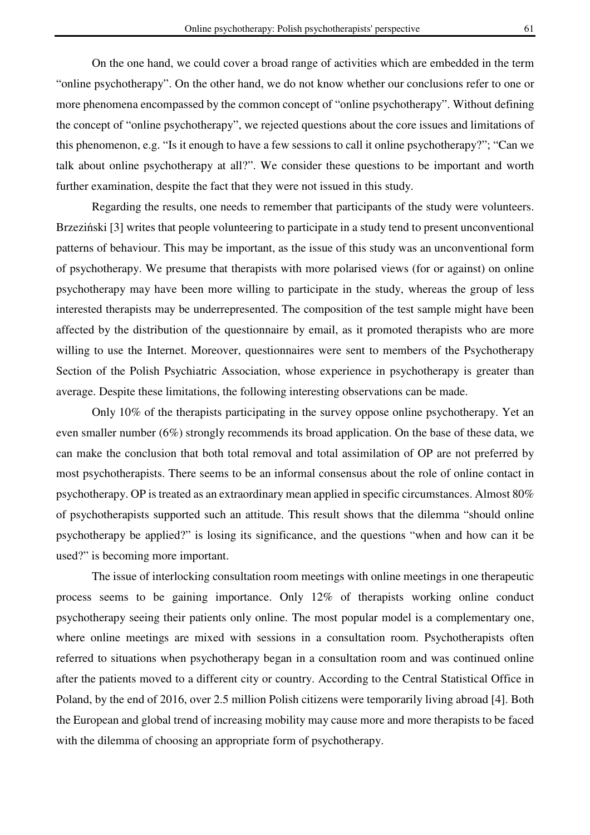On the one hand, we could cover a broad range of activities which are embedded in the term "online psychotherapy". On the other hand, we do not know whether our conclusions refer to one or more phenomena encompassed by the common concept of "online psychotherapy". Without defining the concept of "online psychotherapy", we rejected questions about the core issues and limitations of this phenomenon, e.g. "Is it enough to have a few sessions to call it online psychotherapy?"; "Can we talk about online psychotherapy at all?". We consider these questions to be important and worth further examination, despite the fact that they were not issued in this study.

Regarding the results, one needs to remember that participants of the study were volunteers. Brzeziński [3] writes that people volunteering to participate in a study tend to present unconventional patterns of behaviour. This may be important, as the issue of this study was an unconventional form of psychotherapy. We presume that therapists with more polarised views (for or against) on online psychotherapy may have been more willing to participate in the study, whereas the group of less interested therapists may be underrepresented. The composition of the test sample might have been affected by the distribution of the questionnaire by email, as it promoted therapists who are more willing to use the Internet. Moreover, questionnaires were sent to members of the Psychotherapy Section of the Polish Psychiatric Association, whose experience in psychotherapy is greater than average. Despite these limitations, the following interesting observations can be made.

Only 10% of the therapists participating in the survey oppose online psychotherapy. Yet an even smaller number (6%) strongly recommends its broad application. On the base of these data, we can make the conclusion that both total removal and total assimilation of OP are not preferred by most psychotherapists. There seems to be an informal consensus about the role of online contact in psychotherapy. OP is treated as an extraordinary mean applied in specific circumstances. Almost 80% of psychotherapists supported such an attitude. This result shows that the dilemma "should online psychotherapy be applied?" is losing its significance, and the questions "when and how can it be used?" is becoming more important.

The issue of interlocking consultation room meetings with online meetings in one therapeutic process seems to be gaining importance. Only 12% of therapists working online conduct psychotherapy seeing their patients only online. The most popular model is a complementary one, where online meetings are mixed with sessions in a consultation room. Psychotherapists often referred to situations when psychotherapy began in a consultation room and was continued online after the patients moved to a different city or country. According to the Central Statistical Office in Poland, by the end of 2016, over 2.5 million Polish citizens were temporarily living abroad [4]. Both the European and global trend of increasing mobility may cause more and more therapists to be faced with the dilemma of choosing an appropriate form of psychotherapy.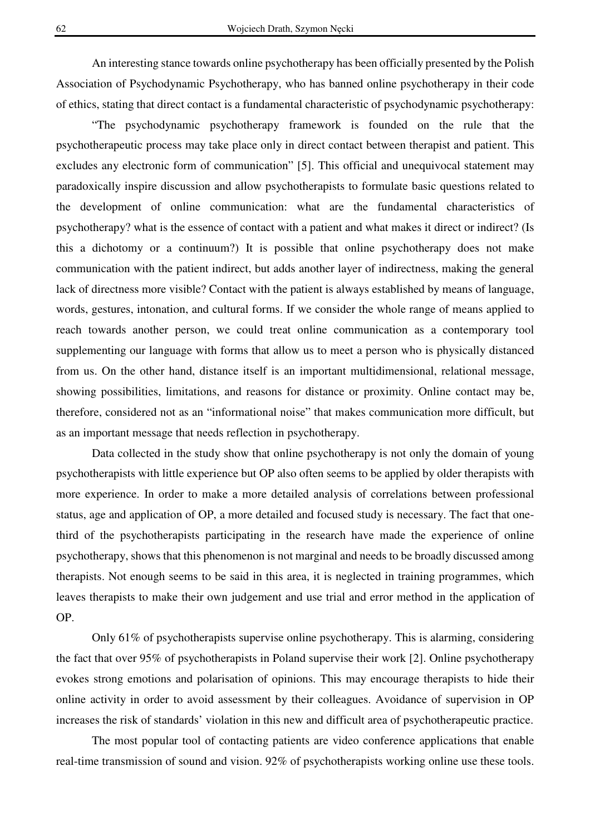An interesting stance towards online psychotherapy has been officially presented by the Polish Association of Psychodynamic Psychotherapy, who has banned online psychotherapy in their code of ethics, stating that direct contact is a fundamental characteristic of psychodynamic psychotherapy:

"The psychodynamic psychotherapy framework is founded on the rule that the psychotherapeutic process may take place only in direct contact between therapist and patient. This excludes any electronic form of communication" [5]. This official and unequivocal statement may paradoxically inspire discussion and allow psychotherapists to formulate basic questions related to the development of online communication: what are the fundamental characteristics of psychotherapy? what is the essence of contact with a patient and what makes it direct or indirect? (Is this a dichotomy or a continuum?) It is possible that online psychotherapy does not make communication with the patient indirect, but adds another layer of indirectness, making the general lack of directness more visible? Contact with the patient is always established by means of language, words, gestures, intonation, and cultural forms. If we consider the whole range of means applied to reach towards another person, we could treat online communication as a contemporary tool supplementing our language with forms that allow us to meet a person who is physically distanced from us. On the other hand, distance itself is an important multidimensional, relational message, showing possibilities, limitations, and reasons for distance or proximity. Online contact may be, therefore, considered not as an "informational noise" that makes communication more difficult, but as an important message that needs reflection in psychotherapy.

Data collected in the study show that online psychotherapy is not only the domain of young psychotherapists with little experience but OP also often seems to be applied by older therapists with more experience. In order to make a more detailed analysis of correlations between professional status, age and application of OP, a more detailed and focused study is necessary. The fact that onethird of the psychotherapists participating in the research have made the experience of online psychotherapy, shows that this phenomenon is not marginal and needs to be broadly discussed among therapists. Not enough seems to be said in this area, it is neglected in training programmes, which leaves therapists to make their own judgement and use trial and error method in the application of OP.

Only 61% of psychotherapists supervise online psychotherapy. This is alarming, considering the fact that over 95% of psychotherapists in Poland supervise their work [2]. Online psychotherapy evokes strong emotions and polarisation of opinions. This may encourage therapists to hide their online activity in order to avoid assessment by their colleagues. Avoidance of supervision in OP increases the risk of standards' violation in this new and difficult area of psychotherapeutic practice.

The most popular tool of contacting patients are video conference applications that enable real-time transmission of sound and vision. 92% of psychotherapists working online use these tools.